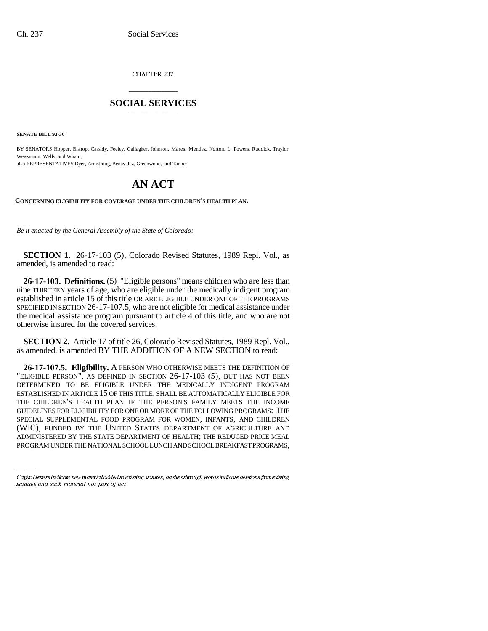CHAPTER 237

## \_\_\_\_\_\_\_\_\_\_\_\_\_\_\_ **SOCIAL SERVICES** \_\_\_\_\_\_\_\_\_\_\_\_\_\_\_

**SENATE BILL 93-36**

BY SENATORS Hopper, Bishop, Cassidy, Feeley, Gallagher, Johnson, Mares, Mendez, Norton, L. Powers, Ruddick, Traylor, Weissmann, Wells, and Wham; also REPRESENTATIVES Dyer, Armstrong, Benavidez, Greenwood, and Tanner.

## **AN ACT**

**CONCERNING ELIGIBILITY FOR COVERAGE UNDER THE CHILDREN'S HEALTH PLAN.**

*Be it enacted by the General Assembly of the State of Colorado:* 

**SECTION 1.** 26-17-103 (5), Colorado Revised Statutes, 1989 Repl. Vol., as amended, is amended to read:

**26-17-103. Definitions.** (5) "Eligible persons" means children who are less than nine THIRTEEN years of age, who are eligible under the medically indigent program established in article 15 of this title OR ARE ELIGIBLE UNDER ONE OF THE PROGRAMS SPECIFIED IN SECTION 26-17-107.5, who are not eligible for medical assistance under the medical assistance program pursuant to article 4 of this title, and who are not otherwise insured for the covered services.

**SECTION 2.** Article 17 of title 26, Colorado Revised Statutes, 1989 Repl. Vol., as amended, is amended BY THE ADDITION OF A NEW SECTION to read:

GUIDELINES FOR ELIGIBILITY FOR ONE OR MORE OF THE FOLLOWING PROGRAMS: THE **26-17-107.5. Eligibility.** A PERSON WHO OTHERWISE MEETS THE DEFINITION OF "ELIGIBLE PERSON", AS DEFINED IN SECTION 26-17-103 (5), BUT HAS NOT BEEN DETERMINED TO BE ELIGIBLE UNDER THE MEDICALLY INDIGENT PROGRAM ESTABLISHED IN ARTICLE 15 OF THIS TITLE, SHALL BE AUTOMATICALLY ELIGIBLE FOR THE CHILDREN'S HEALTH PLAN IF THE PERSON'S FAMILY MEETS THE INCOME SPECIAL SUPPLEMENTAL FOOD PROGRAM FOR WOMEN, INFANTS, AND CHILDREN (WIC), FUNDED BY THE UNITED STATES DEPARTMENT OF AGRICULTURE AND ADMINISTERED BY THE STATE DEPARTMENT OF HEALTH; THE REDUCED PRICE MEAL PROGRAM UNDER THE NATIONAL SCHOOL LUNCH AND SCHOOL BREAKFAST PROGRAMS,

Capital letters indicate new material added to existing statutes; dashes through words indicate deletions from existing statutes and such material not part of act.